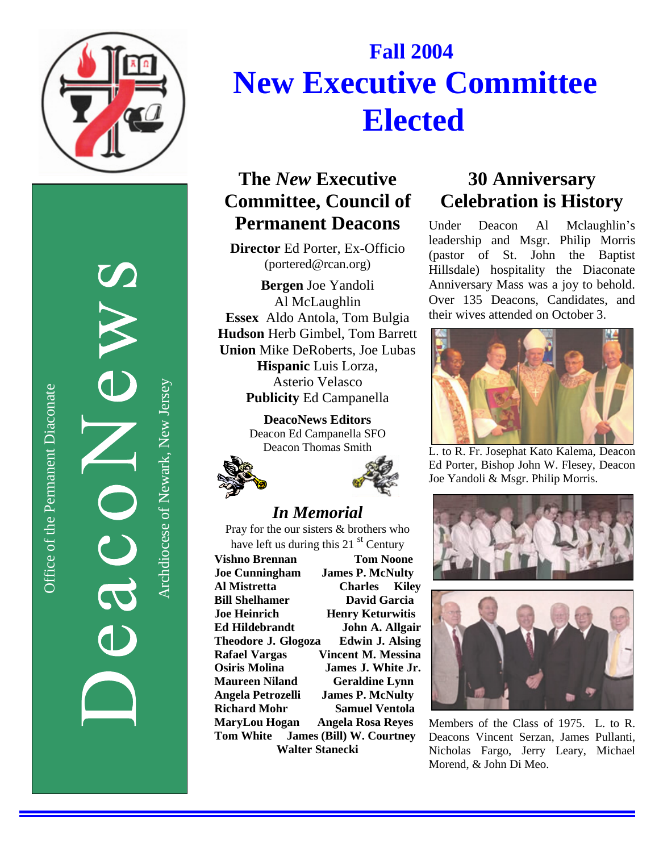

Office of the Permanent Diaconate Office of the Permanent Diaconate

Archdiocese of Newark, New JerseyArchdiocese of Newark, New Jersey

# **F a l l 2 0 0 4** New Executive Committee **Elected**

## The New Executive **Committee, Council of Permanent Deacons**

Director Ed Porter, Ex-Officio (portered@rcan.org)

**Bergen** Joe Yandoli Al McLaughlin Essex Aldo Antola, Tom Bulgia Hudson Herb Gimbel, Tom Barrett Union Mike DeRoberts, Joe Lubas

Hispanic Luis Lorza, Asterio Velasco Publicity Ed Campanella

**DeacoNews Editors** Deacon Ed Campanella SFO Deacon Thomas Smith





#### *In Me m o r ia l*

Pray for the our sisters & brothers who have left us during this 21  $<sup>st</sup>$  Century</sup>

**Vishno Brennan Tom Noone Joe Cunningham James P. McNulty Al Mistretta Charles K i l e y Bill Shelhamer D**avid Garcia **Joe** Heinrich **Henry Keturwitis** Ed Hildebrandt **John A. Allgair Theodore J. Glogoza** Edwin J. Alsing **Rafael Vargas** Vincent M. Messina **Osiris Molina James J. White Jr. Maureen Niland Geraldine Lynn** Angela Petrozelli **James P. McNulty Richard Mohr Samuel Ventola** MaryLou Hogan Angela Rosa Reyes **Tom White James (Bill) W. Courtney** Walter Stanecki

#### 30 Anniversary **celebration is History**

Under Deacon A l Mclaughlin's leadership and Msgr. Philip Morris (pastor of St. John the Baptist Hillsdale) hospitality the Diaconate Anniversary Mass was a joy to behold. Over 135 Deacons, Candidates, and their wives attended on October 3.



L. to R. Fr. Josephat Kato Kalema, Deacon Ed Porter, Bishop John W. Flesey, Deacon Joe Yandoli & Msgr. Philip Morris.





Members of the Class of 1975. L. to R. Deacons Vincent Serzan, James Pullanti, Nicholas Fargo, Jerry Leary, Michael Morend, & John Di Meo.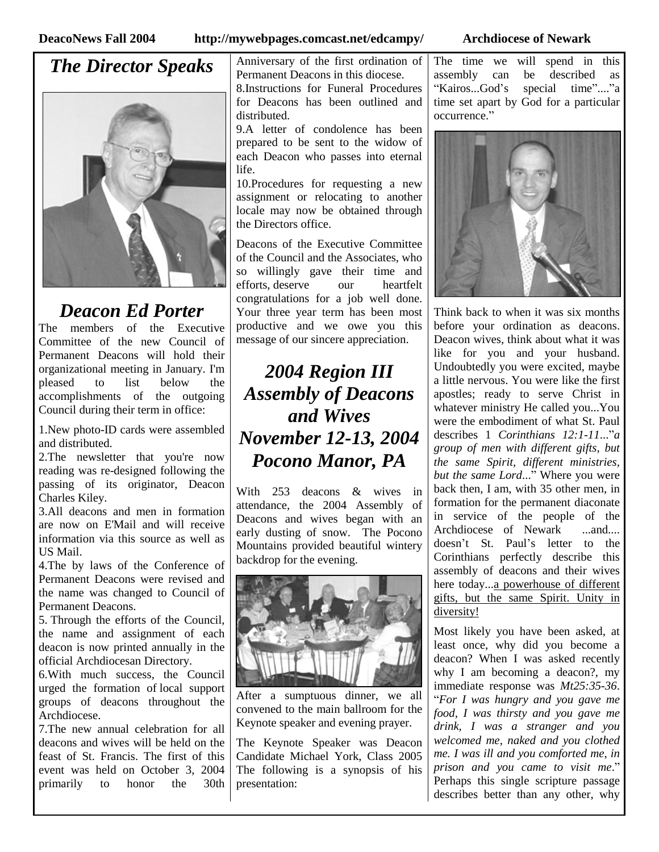#### **DeacoNews Fall 2004 http://mywebpages.comcast.net/edcampy/ Archdiocese of Newark**

### *The Director Speaks*



#### *Deacon Ed Porter*

The members of the Executive Committee of the new Council of Permanent Deacons will hold their organizational meeting in January. I'm pleased to list below the accomplishments of the outgoing Council during their term in office:

1.New photo-ID cards were assembled and distributed.

2.The newsletter that you're now reading was re-designed following the passing of its originator, Deacon Charles Kiley.

3.All deacons and men in formation are now on E'Mail and will receive information via this source as well as US Mail.

4.The by laws of the Conference of Permanent Deacons were revised and the name was changed to Council of Permanent Deacons.

5. Through the efforts of the Council, the name and assignment of each deacon is now printed annually in the official Archdiocesan Directory.

6.With much success, the Council urged the formation of local support groups of deacons throughout the Archdiocese.

7.The new annual celebration for all deacons and wives will be held on the feast of St. Francis. The first of this event was held on October 3, 2004 primarily to honor the 30th Anniversary of the first ordination of Permanent Deacons in this diocese.

8.Instructions for Funeral Procedures for Deacons has been outlined and distributed.

9.A letter of condolence has been prepared to be sent to the widow of each Deacon who passes into eternal life.

10.Procedures for requesting a new assignment or relocating to another locale may now be obtained through the Directors office.

Deacons of the Executive Committee of the Council and the Associates, who so willingly gave their time and efforts, deserve our heartfelt congratulations for a job well done. Your three year term has been most productive and we owe you this message of our sincere appreciation.

## *2004 Region III Assembly of Deacons and Wives November 12-13, 2004 Pocono Manor, PA*

With 253 deacons & wives in attendance, the 2004 Assembly of Deacons and wives began with an early dusting of snow. The Pocono Mountains provided beautiful wintery backdrop for the evening.



After a sumptuous dinner, we all convened to the main ballroom for the Keynote speaker and evening prayer.

The Keynote Speaker was Deacon Candidate Michael York, Class 2005 The following is a synopsis of his presentation:

The time we will spend in this assembly can be described as "Kairos...God's special time"...."a time set apart by God for a particular occurrence."



Think back to when it was six months before your ordination as deacons. Deacon wives, think about what it was like for you and your husband. Undoubtedly you were excited, maybe a little nervous. You were like the first apostles; ready to serve Christ in whatever ministry He called you...You were the embodiment of what St. Paul describes 1 *Corinthians 12:1-11*..."*a group of men with different gifts, but the same Spirit, different ministries, but the same Lord*..."Where you were back then, I am, with 35 other men, in formation for the permanent diaconate in service of the people of the Archdiocese of Newark ...and.... doesn't St. Paul's letter to the Corinthians perfectly describe this assembly of deacons and their wives here today...a powerhouse of different gifts, but the same Spirit. Unity in diversity!

Most likely you have been asked, at least once, why did you become a deacon? When I was asked recently why I am becoming a deacon?, my immediate response was *Mt25:35-36*. "*For I was hungry and you gave me food, I was thirsty and you gave me drink, I was a stranger and you welcomed me, naked and you clothed me. I was ill and you comforted me, in prison and you came to visit me*." Perhaps this single scripture passage describes better than any other, why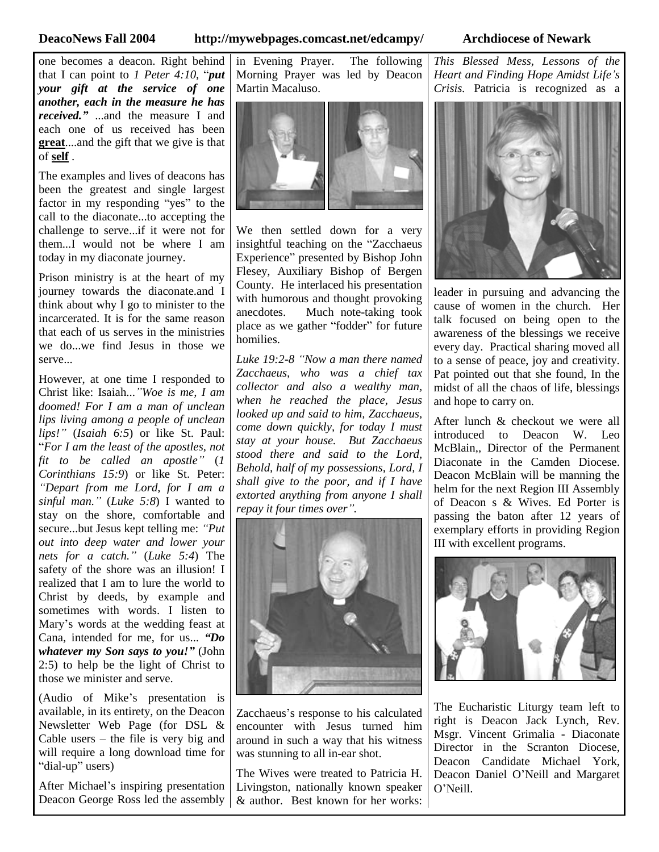#### **DeacoNews Fall 2004 http://mywebpages.comcast.net/edcampy/ Archdiocese of Newark**

one becomes a deacon. Right behind that I can point to *1 Peter 4:10*, "*put your gift at the service of one another, each in the measure he has received."*...and the measure I and each one of us received has been **great**....and the gift that we give is that of **self** .

The examples and lives of deacons has been the greatest and single largest factor in my responding "yes" to the call to the diaconate...to accepting the challenge to serve...if it were not for them...I would not be where I am today in my diaconate journey.

Prison ministry is at the heart of my journey towards the diaconate.and I think about why I go to minister to the incarcerated. It is for the same reason that each of us serves in the ministries we do...we find Jesus in those we serve...

However, at one time I responded to Christ like: Isaiah...*"Woe is me, I am doomed! For I am a man of unclean lips living among a people of unclean lips!"*(*Isaiah 6:5*) or like St. Paul: "*For I am the least of the apostles, not fit to be called an apostle"* (*1 Corinthians 15:9*) or like St. Peter: *"Depart from me Lord, for I am a sinful man."*(*Luke 5:8*) I wanted to stay on the shore, comfortable and secure...but Jesus kept telling me: *"Put out into deep water and lower your nets for a catch."* (*Luke 5:4*) The safety of the shore was an illusion! I realized that I am to lure the world to Christ by deeds, by example and sometimes with words. I listen to Mary's words at the wedding feast at Cana, intended for me, for us... *"Do whatever my Son says to you!"*(John 2:5) to help be the light of Christ to those we minister and serve.

(Audio of Mike's presentation is available, in its entirety, on the Deacon Newsletter Web Page (for DSL & Cable users  $-$  the file is very big and will require a long download time for "dial-up" users)

After Michael's inspiring presentation Deacon George Ross led the assembly in Evening Prayer. The following Morning Prayer was led by Deacon Martin Macaluso.



We then settled down for a very insightful teaching on the "Zacchaeus Experience" presented by Bishop John Flesey, Auxiliary Bishop of Bergen County. He interlaced his presentation with humorous and thought provoking anecdotes. Much note-taking took place as we gather "fodder" for future homilies.

*Luke 19:2-8 "Now a man there named Zacchaeus, who was a chief tax collector and also a wealthy man, when he reached the place, Jesus looked up and said to him, Zacchaeus, come down quickly, for today I must stay at your house. But Zacchaeus stood there and said to the Lord, Behold, half of my possessions, Lord, I shall give to the poor, and if I have extorted anything from anyone I shall repay it four times over".*



Zacchaeus's response to his calculated encounter with Jesus turned him around in such a way that his witness was stunning to all in-ear shot.

The Wives were treated to Patricia H. Livingston, nationally known speaker & author. Best known for her works: *This Blessed Mess, Lessons of the Heart and Finding Hope Amidst Life's Crisis.* Patricia is recognized as a



leader in pursuing and advancing the cause of women in the church. Her talk focused on being open to the awareness of the blessings we receive every day. Practical sharing moved all to a sense of peace, joy and creativity. Pat pointed out that she found, In the midst of all the chaos of life, blessings and hope to carry on.

After lunch & checkout we were all introduced to Deacon W. Leo McBlain,, Director of the Permanent Diaconate in the Camden Diocese. Deacon McBlain will be manning the helm for the next Region III Assembly of Deacon s & Wives. Ed Porter is passing the baton after 12 years of exemplary efforts in providing Region III with excellent programs.



The Eucharistic Liturgy team left to right is Deacon Jack Lynch, Rev. Msgr. Vincent Grimalia - Diaconate Director in the Scranton Diocese. Deacon Candidate Michael York, Deacon Daniel O'Neill and Margaret O'Neill.